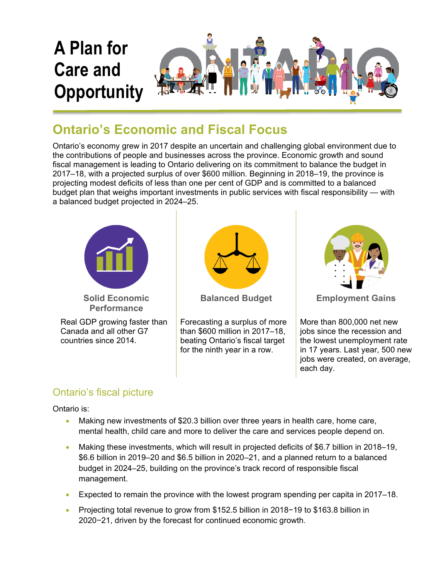

## **Ontario's Economic and Fiscal Focus**

Ontario's economy grew in 2017 despite an uncertain and challenging global environment due to the contributions of people and businesses across the province. Economic growth and sound fiscal management is leading to Ontario delivering on its commitment to balance the budget in 2017–18, with a projected surplus of over \$600 million. Beginning in 2018–19, the province is projecting modest deficits of less than one per cent of GDP and is committed to a balanced budget plan that weighs important investments in public services with fiscal responsibility — with a balanced budget projected in 2024–25.





More than 800,000 net new jobs since the recession and the lowest unemployment rate in 17 years. Last year, 500 new jobs were created, on average, each day.

## Ontario's fiscal picture

Ontario is:

- Making new investments of \$20.3 billion over three years in health care, home care, mental health, child care and more to deliver the care and services people depend on.
- Making these investments, which will result in projected deficits of \$6.7 billion in 2018–19, \$6.6 billion in 2019–20 and \$6.5 billion in 2020–21, and a planned return to a balanced budget in 2024–25, building on the province's track record of responsible fiscal management.
- Expected to remain the province with the lowest program spending per capita in 2017–18.
- Projecting total revenue to grow from \$152.5 billion in 2018−19 to \$163.8 billion in 2020−21, driven by the forecast for continued economic growth.